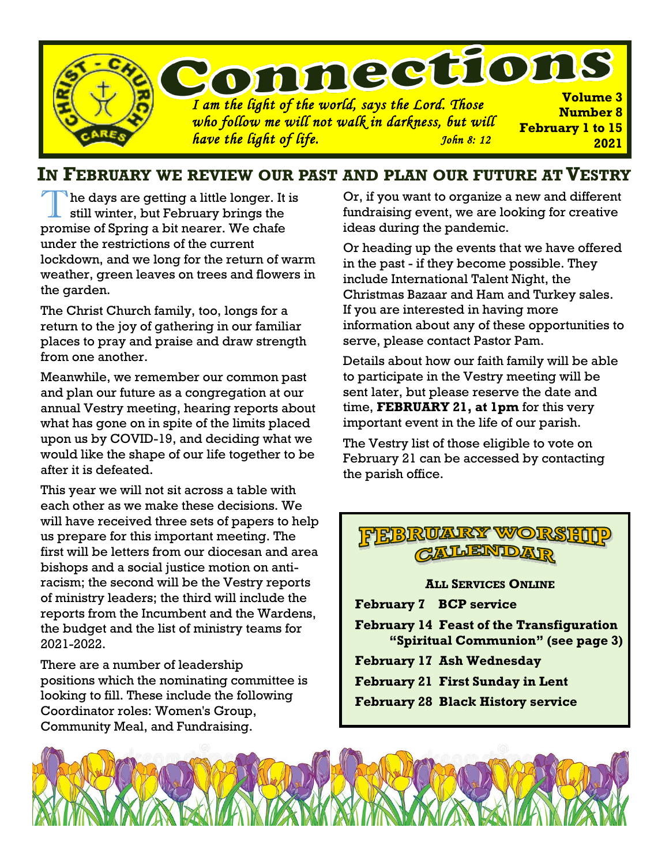

### **IN FEBRUARY WE REVIEW OUR PAST AND PLAN OUR FUTURE ATVESTRY**

T The days are getting a little longer. It is still winter, but February brings the promise of Spring a bit nearer. We chafe under the restrictions of the current lockdown, and we long for the return of warm weather, green leaves on trees and flowers in the garden.

The Christ Church family, too, longs for a return to the joy of gathering in our familiar places to pray and praise and draw strength from one another.

Meanwhile, we remember our common past and plan our future as a congregation at our annual Vestry meeting, hearing reports about what has gone on in spite of the limits placed upon us by COVID-19, and deciding what we would like the shape of our life together to be after it is defeated.

This year we will not sit across a table with each other as we make these decisions. We will have received three sets of papers to help us prepare for this important meeting. The first will be letters from our diocesan and area bishops and a social justice motion on antiracism; the second will be the Vestry reports of ministry leaders; the third will include the reports from the Incumbent and the Wardens, the budget and the list of ministry teams for 2021-2022.

There are a number of leadership positions which the nominating committee is looking to fill. These include the following Coordinator roles: Women's Group, Community Meal, and Fundraising.

Or, if you want to organize a new and different fundraising event, we are looking for creative ideas during the pandemic.

Or heading up the events that we have offered in the past - if they become possible. They include International Talent Night, the Christmas Bazaar and Ham and Turkey sales. If you are interested in having more information about any of these opportunities to serve, please contact Pastor Pam.

Details about how our faith family will be able to participate in the Vestry meeting will be sent later, but please reserve the date and time, **FEBRUARY 21, at 1pm** for this very important event in the life of our parish.

The Vestry list of those eligible to vote on February 21 can be accessed by contacting the parish office.

## **OLAUROY WY CALLENIDAR**

**ALL SERVICES ONLINE**

**February 7 BCP service**

**February 14 Feast of the Transfiguration "Spiritual Communion" (see page 3)**

- **February 17 Ash Wednesday**
- **February 21 First Sunday in Lent**
- **February 28 Black History service**

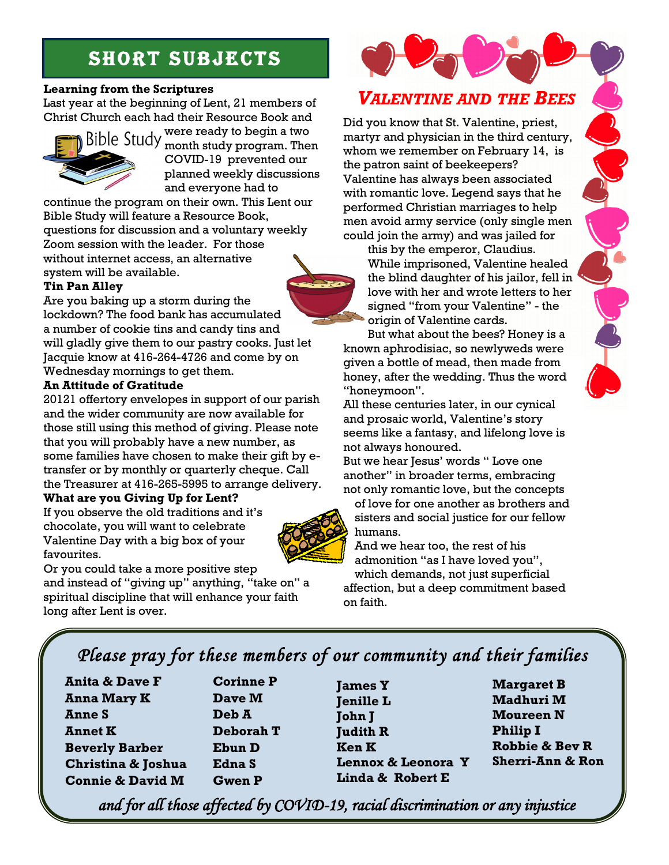# **SHORT SUBJECTS**

### **Learning from the Scriptures**

Last year at the beginning of Lent, 21 members of Christ Church each had their Resource Book and



were ready to begin a two month study program. Then COVID-19 prevented our planned weekly discussions and everyone had to

continue the program on their own. This Lent our Bible Study will feature a Resource Book, questions for discussion and a voluntary weekly Zoom session with the leader. For those without internet access, an alternative system will be available.

### **Tin Pan Alley**

Are you baking up a storm during the lockdown? The food bank has accumulated a number of cookie tins and candy tins and will gladly give them to our pastry cooks. Just let Jacquie know at 416-264-4726 and come by on Wednesday mornings to get them.

#### **An Attitude of Gratitude**

20121 offertory envelopes in support of our parish and the wider community are now available for those still using this method of giving. Please note that you will probably have a new number, as some families have chosen to make their gift by etransfer or by monthly or quarterly cheque. Call the Treasurer at 416-265-5995 to arrange delivery.

### **What are you Giving Up for Lent?**

If you observe the old traditions and it's chocolate, you will want to celebrate Valentine Day with a big box of your favourites.



Or you could take a more positive step

and instead of "giving up" anything, "take on" a spiritual discipline that will enhance your faith long after Lent is over.

# *VALENTINE AND THE BEES*

Did you know that St. Valentine, priest, martyr and physician in the third century, whom we remember on February 14, is the patron saint of beekeepers? Valentine has always been associated with romantic love. Legend says that he performed Christian marriages to help men avoid army service (only single men could join the army) and was jailed for

this by the emperor, Claudius. While imprisoned, Valentine healed the blind daughter of his jailor, fell in love with her and wrote letters to her signed "from your Valentine" - the origin of Valentine cards.

But what about the bees? Honey is a known aphrodisiac, so newlyweds were given a bottle of mead, then made from honey, after the wedding. Thus the word "honeymoon".

All these centuries later, in our cynical and prosaic world, Valentine's story seems like a fantasy, and lifelong love is not always honoured.

But we hear Jesus' words " Love one another" in broader terms, embracing not only romantic love, but the concepts

of love for one another as brothers and sisters and social justice for our fellow humans.

And we hear too, the rest of his admonition "as I have loved you", which demands, not just superficial

affection, but a deep commitment based on faith.

## *Please pray for these members of our community and their families*

**Anita & Dave F Anna Mary K Anne S Annet K Beverly Barber Christina & Joshua Connie & David M**

**Corinne P Dave M Deb A Deborah T Ebun D Edna S Gwen P**

**James Y Jenille L** **John J Judith R Ken K Lennox & Leonora Y Linda & Robert E**

**Margaret B Madhuri M Moureen N Philip I Robbie & Bev R Sherri-Ann & Ron**

*and for all those affected by COVID-19, racial discrimination or any injustice* 

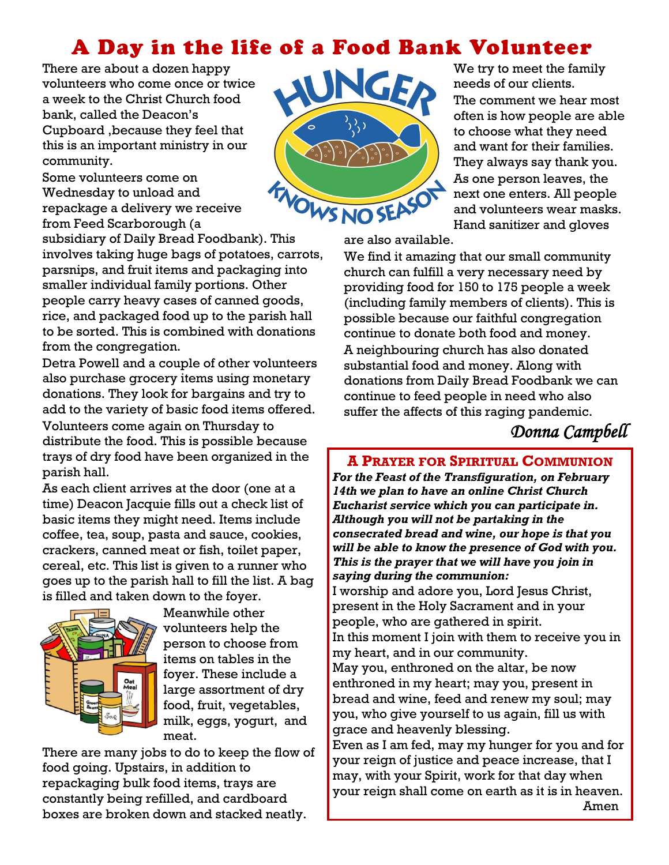# A Day in the life of a Food Bank Volunteer

There are about a dozen happy volunteers who come once or twice a week to the Christ Church food bank, called the Deacon's Cupboard ,because they feel that this is an important ministry in our community.

Some volunteers come on Wednesday to unload and repackage a delivery we receive from Feed Scarborough (a

subsidiary of Daily Bread Foodbank). This involves taking huge bags of potatoes, carrots, parsnips, and fruit items and packaging into smaller individual family portions. Other people carry heavy cases of canned goods, rice, and packaged food up to the parish hall to be sorted. This is combined with donations from the congregation.

Detra Powell and a couple of other volunteers also purchase grocery items using monetary donations. They look for bargains and try to add to the variety of basic food items offered. Volunteers come again on Thursday to distribute the food. This is possible because trays of dry food have been organized in the parish hall.

As each client arrives at the door (one at a time) Deacon Jacquie fills out a check list of basic items they might need. Items include coffee, tea, soup, pasta and sauce, cookies, crackers, canned meat or fish, toilet paper, cereal, etc. This list is given to a runner who goes up to the parish hall to fill the list. A bag is filled and taken down to the foyer.



Meanwhile other volunteers help the person to choose from items on tables in the foyer. These include a large assortment of dry food, fruit, vegetables, milk, eggs, yogurt, and meat.

There are many jobs to do to keep the flow of food going. Upstairs, in addition to repackaging bulk food items, trays are constantly being refilled, and cardboard boxes are broken down and stacked neatly.



We try to meet the family needs of our clients. The comment we hear most often is how people are able to choose what they need and want for their families. They always say thank you. As one person leaves, the next one enters. All people and volunteers wear masks. Hand sanitizer and gloves

are also available.

We find it amazing that our small community church can fulfill a very necessary need by providing food for 150 to 175 people a week (including family members of clients). This is possible because our faithful congregation continue to donate both food and money. A neighbouring church has also donated substantial food and money. Along with donations from Daily Bread Foodbank we can continue to feed people in need who also suffer the affects of this raging pandemic.

## *Donna Campbell*

### **A PRAYER FOR SPIRITUAL COMMUNION**

*For the Feast of the Transfiguration, on February 14th we plan to have an online Christ Church Eucharist service which you can participate in. Although you will not be partaking in the consecrated bread and wine, our hope is that you will be able to know the presence of God with you. This is the prayer that we will have you join in saying during the communion:*

I worship and adore you, Lord Jesus Christ, present in the Holy Sacrament and in your people, who are gathered in spirit.

In this moment I join with them to receive you in my heart, and in our community.

May you, enthroned on the altar, be now enthroned in my heart; may you, present in bread and wine, feed and renew my soul; may you, who give yourself to us again, fill us with grace and heavenly blessing.

Even as I am fed, may my hunger for you and for your reign of justice and peace increase, that I may, with your Spirit, work for that day when your reign shall come on earth as it is in heaven. Amen